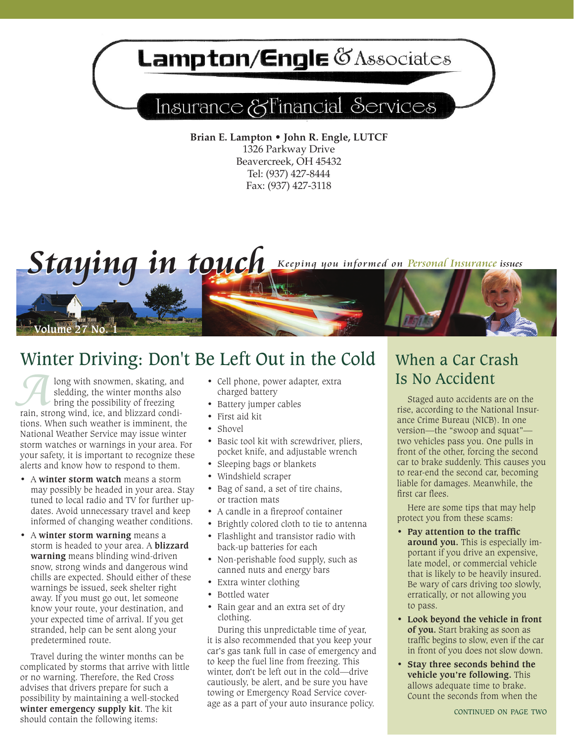# Lampton/Engle & Associates

## Insurance & Financial Services

**Brian E. Lampton • John R. Engle, LUTCF** 1326 Parkway Drive Beavercreek, OH 45432 Tel: (937) 427-8444 Fax: (937) 427-3118



### Winter Driving: Don't Be Left Out in the Cold

**Along with snowmen, skating, and sledding, the winter months also bring the possibility of freezing rain, strong wind, ice, and blizzard condi**sledding, the winter months also bring the possibility of freezing tions. When such weather is imminent, the National Weather Service may issue winter storm watches or warnings in your area. For your safety, it is important to recognize these alerts and know how to respond to them.

- • A **winter storm watch** means a storm may possibly be headed in your area. Stay tuned to local radio and TV for further updates. Avoid unnecessary travel and keep informed of changing weather conditions.
- • A **winter storm warning** means a storm is headed to your area. A **blizzard warning** means blinding wind-driven snow, strong winds and dangerous wind chills are expected. Should either of these warnings be issued, seek shelter right away. If you must go out, let someone know your route, your destination, and your expected time of arrival. If you get stranded, help can be sent along your predetermined route.

Travel during the winter months can be complicated by storms that arrive with little or no warning. Therefore, the Red Cross advises that drivers prepare for such a possibility by maintaining a well-stocked **winter emergency supply kit**. The kit should contain the following items:

- • Cell phone, power adapter, extra charged battery
- Battery jumper cables
- First aid kit
- Shovel
- Basic tool kit with screwdriver, pliers, pocket knife, and adjustable wrench
- Sleeping bags or blankets
- Windshield scraper
- Bag of sand, a set of tire chains, or traction mats
- A candle in a fireproof container
- Brightly colored cloth to tie to antenna
- Flashlight and transistor radio with back-up batteries for each
- Non-perishable food supply, such as canned nuts and energy bars
- Extra winter clothing
- Bottled water
- Rain gear and an extra set of dry clothing.

During this unpredictable time of year, it is also recommended that you keep your car's gas tank full in case of emergency and to keep the fuel line from freezing. This winter, don't be left out in the cold—drive cautiously, be alert, and be sure you have towing or Emergency Road Service coverage as a part of your auto insurance policy.

### When a Car Crash Is No Accident

Staged auto accidents are on the rise, according to the National Insurance Crime Bureau (NICB). In one version—the "swoop and squat" two vehicles pass you. One pulls in front of the other, forcing the second car to brake suddenly. This causes you to rear-end the second car, becoming liable for damages. Meanwhile, the first car flees.

Here are some tips that may help protect you from these scams:

- **Pay attention to the traffic around you.** This is especially important if you drive an expensive, late model, or commercial vehicle that is likely to be heavily insured. Be wary of cars driving too slowly, erratically, or not allowing you to pass.
- **Look beyond the vehicle in front of you.** Start braking as soon as traffic begins to slow, even if the car in front of you does not slow down.
- **Stay three seconds behind the vehicle you're following.** This allows adequate time to brake. Count the seconds from when the

continued on page two